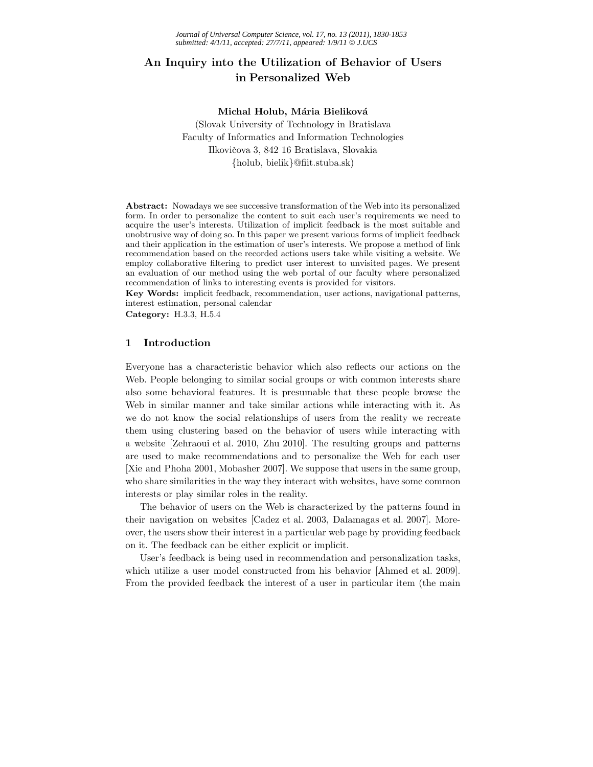# **An Inquiry into the Utilization of Behavior of Users in Personalized Web**

### **Michal Holub, Mária Bieliková**

(Slovak University of Technology in Bratislava Faculty of Informatics and Information Technologies Ilkovičova 3, 842 16 Bratislava, Slovakia {holub, bielik}@fiit.stuba.sk)

**Abstract:** Nowadays we see successive transformation of the Web into its personalized form. In order to personalize the content to suit each user's requirements we need to acquire the user's interests. Utilization of implicit feedback is the most suitable and unobtrusive way of doing so. In this paper we present various forms of implicit feedback and their application in the estimation of user's interests. We propose a method of link recommendation based on the recorded actions users take while visiting a website. We employ collaborative filtering to predict user interest to unvisited pages. We present an evaluation of our method using the web portal of our faculty where personalized recommendation of links to interesting events is provided for visitors.

**Key Words:** implicit feedback, recommendation, user actions, navigational patterns, interest estimation, personal calendar

**Category:** H.3.3, H.5.4

# **1 Introduction**

Everyone has a characteristic behavior which also reflects our actions on the Web. People belonging to similar social groups or with common interests share also some behavioral features. It is presumable that these people browse the Web in similar manner and take similar actions while interacting with it. As we do not know the social relationships of users from the reality we recreate them using clustering based on the behavior of users while interacting with a website [Zehraoui et al. 2010, Zhu 2010]. The resulting groups and patterns are used to make recommendations and to personalize the Web for each user [Xie and Phoha 2001, Mobasher 2007]. We suppose that users in the same group, who share similarities in the way they interact with websites, have some common interests or play similar roles in the reality.

The behavior of users on the Web is characterized by the patterns found in their navigation on websites [Cadez et al. 2003, Dalamagas et al. 2007]. Moreover, the users show their interest in a particular web page by providing feedback on it. The feedback can be either explicit or implicit.

User's feedback is being used in recommendation and personalization tasks, which utilize a user model constructed from his behavior [Ahmed et al. 2009]. From the provided feedback the interest of a user in particular item (the main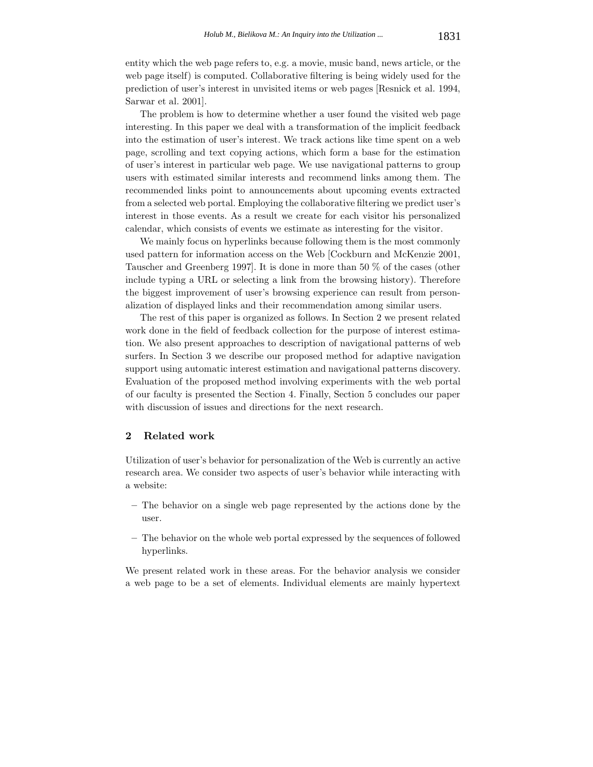entity which the web page refers to, e.g. a movie, music band, news article, or the web page itself) is computed. Collaborative filtering is being widely used for the prediction of user's interest in unvisited items or web pages [Resnick et al. 1994, Sarwar et al. 2001].

The problem is how to determine whether a user found the visited web page interesting. In this paper we deal with a transformation of the implicit feedback into the estimation of user's interest. We track actions like time spent on a web page, scrolling and text copying actions, which form a base for the estimation of user's interest in particular web page. We use navigational patterns to group users with estimated similar interests and recommend links among them. The recommended links point to announcements about upcoming events extracted from a selected web portal. Employing the collaborative filtering we predict user's interest in those events. As a result we create for each visitor his personalized calendar, which consists of events we estimate as interesting for the visitor.

We mainly focus on hyperlinks because following them is the most commonly used pattern for information access on the Web [Cockburn and McKenzie 2001, Tauscher and Greenberg 1997]. It is done in more than 50 % of the cases (other include typing a URL or selecting a link from the browsing history). Therefore the biggest improvement of user's browsing experience can result from personalization of displayed links and their recommendation among similar users.

The rest of this paper is organized as follows. In Section 2 we present related work done in the field of feedback collection for the purpose of interest estimation. We also present approaches to description of navigational patterns of web surfers. In Section 3 we describe our proposed method for adaptive navigation support using automatic interest estimation and navigational patterns discovery. Evaluation of the proposed method involving experiments with the web portal of our faculty is presented the Section 4. Finally, Section 5 concludes our paper with discussion of issues and directions for the next research.

# **2 Related work**

Utilization of user's behavior for personalization of the Web is currently an active research area. We consider two aspects of user's behavior while interacting with a website:

- **–** The behavior on a single web page represented by the actions done by the user.
- **–** The behavior on the whole web portal expressed by the sequences of followed hyperlinks.

We present related work in these areas. For the behavior analysis we consider a web page to be a set of elements. Individual elements are mainly hypertext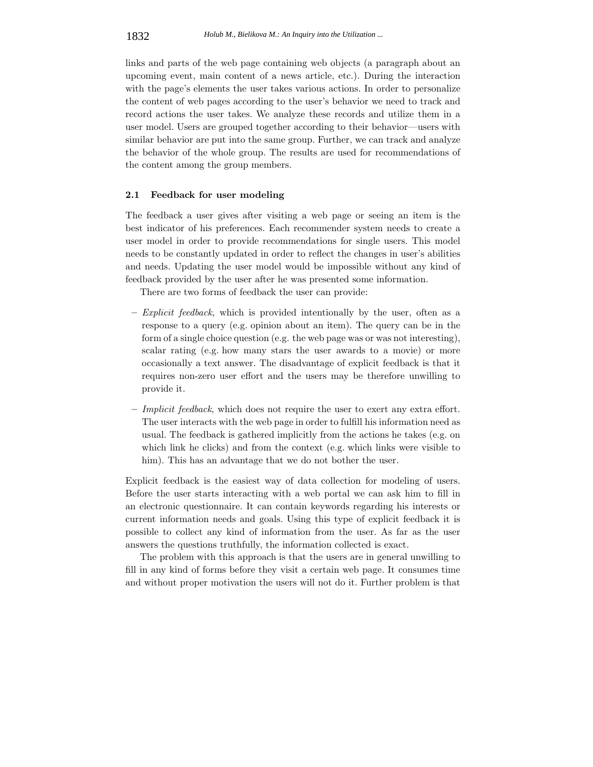links and parts of the web page containing web objects (a paragraph about an upcoming event, main content of a news article, etc.). During the interaction with the page's elements the user takes various actions. In order to personalize the content of web pages according to the user's behavior we need to track and record actions the user takes. We analyze these records and utilize them in a user model. Users are grouped together according to their behavior—users with similar behavior are put into the same group. Further, we can track and analyze the behavior of the whole group. The results are used for recommendations of the content among the group members.

#### **2.1 Feedback for user modeling**

The feedback a user gives after visiting a web page or seeing an item is the best indicator of his preferences. Each recommender system needs to create a user model in order to provide recommendations for single users. This model needs to be constantly updated in order to reflect the changes in user's abilities and needs. Updating the user model would be impossible without any kind of feedback provided by the user after he was presented some information.

There are two forms of feedback the user can provide:

- **–** *Explicit feedback*, which is provided intentionally by the user, often as a response to a query (e.g. opinion about an item). The query can be in the form of a single choice question (e.g. the web page was or was not interesting), scalar rating (e.g. how many stars the user awards to a movie) or more occasionally a text answer. The disadvantage of explicit feedback is that it requires non-zero user effort and the users may be therefore unwilling to provide it.
- **–** *Implicit feedback*, which does not require the user to exert any extra effort. The user interacts with the web page in order to fulfill his information need as usual. The feedback is gathered implicitly from the actions he takes (e.g. on which link he clicks) and from the context (e.g. which links were visible to him). This has an advantage that we do not bother the user.

Explicit feedback is the easiest way of data collection for modeling of users. Before the user starts interacting with a web portal we can ask him to fill in an electronic questionnaire. It can contain keywords regarding his interests or current information needs and goals. Using this type of explicit feedback it is possible to collect any kind of information from the user. As far as the user answers the questions truthfully, the information collected is exact.

The problem with this approach is that the users are in general unwilling to fill in any kind of forms before they visit a certain web page. It consumes time and without proper motivation the users will not do it. Further problem is that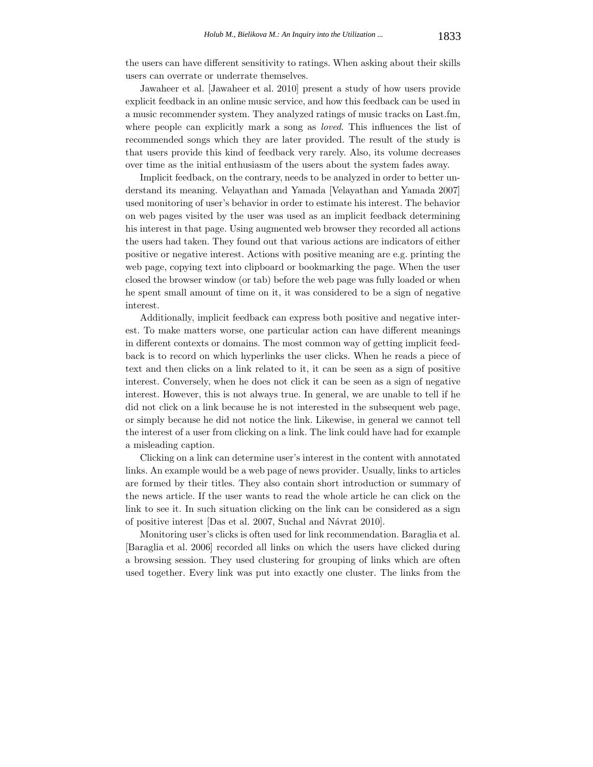the users can have different sensitivity to ratings. When asking about their skills users can overrate or underrate themselves.

Jawaheer et al. [Jawaheer et al. 2010] present a study of how users provide explicit feedback in an online music service, and how this feedback can be used in a music recommender system. They analyzed ratings of music tracks on Last.fm, where people can explicitly mark a song as *loved*. This influences the list of recommended songs which they are later provided. The result of the study is that users provide this kind of feedback very rarely. Also, its volume decreases over time as the initial enthusiasm of the users about the system fades away.

Implicit feedback, on the contrary, needs to be analyzed in order to better understand its meaning. Velayathan and Yamada [Velayathan and Yamada 2007] used monitoring of user's behavior in order to estimate his interest. The behavior on web pages visited by the user was used as an implicit feedback determining his interest in that page. Using augmented web browser they recorded all actions the users had taken. They found out that various actions are indicators of either positive or negative interest. Actions with positive meaning are e.g. printing the web page, copying text into clipboard or bookmarking the page. When the user closed the browser window (or tab) before the web page was fully loaded or when he spent small amount of time on it, it was considered to be a sign of negative interest.

Additionally, implicit feedback can express both positive and negative interest. To make matters worse, one particular action can have different meanings in different contexts or domains. The most common way of getting implicit feedback is to record on which hyperlinks the user clicks. When he reads a piece of text and then clicks on a link related to it, it can be seen as a sign of positive interest. Conversely, when he does not click it can be seen as a sign of negative interest. However, this is not always true. In general, we are unable to tell if he did not click on a link because he is not interested in the subsequent web page, or simply because he did not notice the link. Likewise, in general we cannot tell the interest of a user from clicking on a link. The link could have had for example a misleading caption.

Clicking on a link can determine user's interest in the content with annotated links. An example would be a web page of news provider. Usually, links to articles are formed by their titles. They also contain short introduction or summary of the news article. If the user wants to read the whole article he can click on the link to see it. In such situation clicking on the link can be considered as a sign of positive interest [Das et al. 2007, Suchal and Návrat 2010].

Monitoring user's clicks is often used for link recommendation. Baraglia et al. [Baraglia et al. 2006] recorded all links on which the users have clicked during a browsing session. They used clustering for grouping of links which are often used together. Every link was put into exactly one cluster. The links from the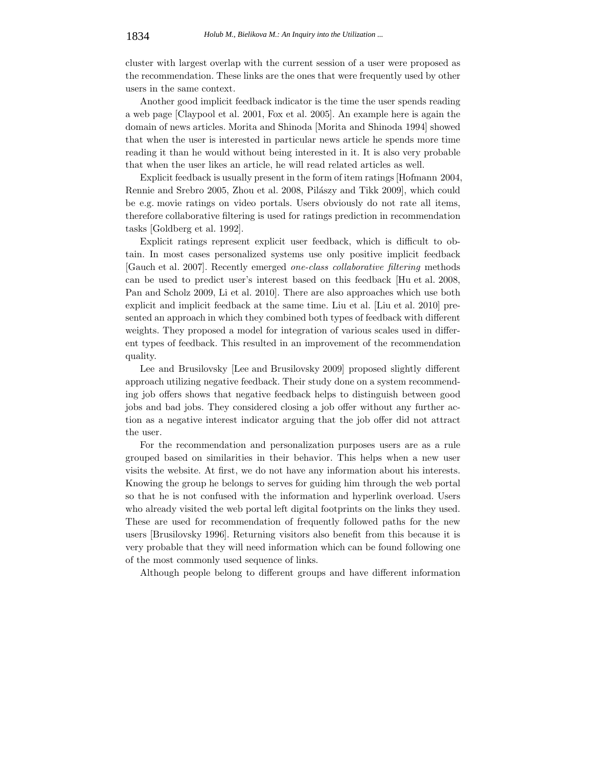cluster with largest overlap with the current session of a user were proposed as the recommendation. These links are the ones that were frequently used by other users in the same context.

Another good implicit feedback indicator is the time the user spends reading a web page [Claypool et al. 2001, Fox et al. 2005]. An example here is again the domain of news articles. Morita and Shinoda [Morita and Shinoda 1994] showed that when the user is interested in particular news article he spends more time reading it than he would without being interested in it. It is also very probable that when the user likes an article, he will read related articles as well.

Explicit feedback is usually present in the form of item ratings [Hofmann 2004, Rennie and Srebro 2005, Zhou et al. 2008, Pilászy and Tikk 2009], which could be e.g. movie ratings on video portals. Users obviously do not rate all items, therefore collaborative filtering is used for ratings prediction in recommendation tasks [Goldberg et al. 1992].

Explicit ratings represent explicit user feedback, which is difficult to obtain. In most cases personalized systems use only positive implicit feedback [Gauch et al. 2007]. Recently emerged *one-class collaborative filtering* methods can be used to predict user's interest based on this feedback [Hu et al. 2008, Pan and Scholz 2009, Li et al. 2010]. There are also approaches which use both explicit and implicit feedback at the same time. Liu et al. [Liu et al. 2010] presented an approach in which they combined both types of feedback with different weights. They proposed a model for integration of various scales used in different types of feedback. This resulted in an improvement of the recommendation quality.

Lee and Brusilovsky [Lee and Brusilovsky 2009] proposed slightly different approach utilizing negative feedback. Their study done on a system recommending job offers shows that negative feedback helps to distinguish between good jobs and bad jobs. They considered closing a job offer without any further action as a negative interest indicator arguing that the job offer did not attract the user.

For the recommendation and personalization purposes users are as a rule grouped based on similarities in their behavior. This helps when a new user visits the website. At first, we do not have any information about his interests. Knowing the group he belongs to serves for guiding him through the web portal so that he is not confused with the information and hyperlink overload. Users who already visited the web portal left digital footprints on the links they used. These are used for recommendation of frequently followed paths for the new users [Brusilovsky 1996]. Returning visitors also benefit from this because it is very probable that they will need information which can be found following one of the most commonly used sequence of links.

Although people belong to different groups and have different information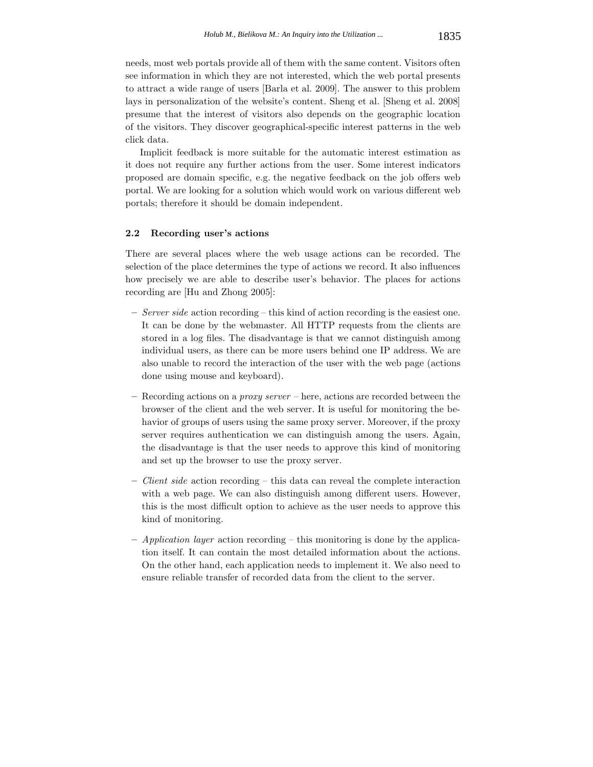needs, most web portals provide all of them with the same content. Visitors often see information in which they are not interested, which the web portal presents to attract a wide range of users [Barla et al. 2009]. The answer to this problem lays in personalization of the website's content. Sheng et al. [Sheng et al. 2008] presume that the interest of visitors also depends on the geographic location of the visitors. They discover geographical-specific interest patterns in the web click data.

Implicit feedback is more suitable for the automatic interest estimation as it does not require any further actions from the user. Some interest indicators proposed are domain specific, e.g. the negative feedback on the job offers web portal. We are looking for a solution which would work on various different web portals; therefore it should be domain independent.

# **2.2 Recording user's actions**

There are several places where the web usage actions can be recorded. The selection of the place determines the type of actions we record. It also influences how precisely we are able to describe user's behavior. The places for actions recording are [Hu and Zhong 2005]:

- **–** *Server side* action recording this kind of action recording is the easiest one. It can be done by the webmaster. All HTTP requests from the clients are stored in a log files. The disadvantage is that we cannot distinguish among individual users, as there can be more users behind one IP address. We are also unable to record the interaction of the user with the web page (actions done using mouse and keyboard).
- **–** Recording actions on a *proxy server* here, actions are recorded between the browser of the client and the web server. It is useful for monitoring the behavior of groups of users using the same proxy server. Moreover, if the proxy server requires authentication we can distinguish among the users. Again, the disadvantage is that the user needs to approve this kind of monitoring and set up the browser to use the proxy server.
- **–** *Client side* action recording this data can reveal the complete interaction with a web page. We can also distinguish among different users. However, this is the most difficult option to achieve as the user needs to approve this kind of monitoring.
- **–** *Application layer* action recording this monitoring is done by the application itself. It can contain the most detailed information about the actions. On the other hand, each application needs to implement it. We also need to ensure reliable transfer of recorded data from the client to the server.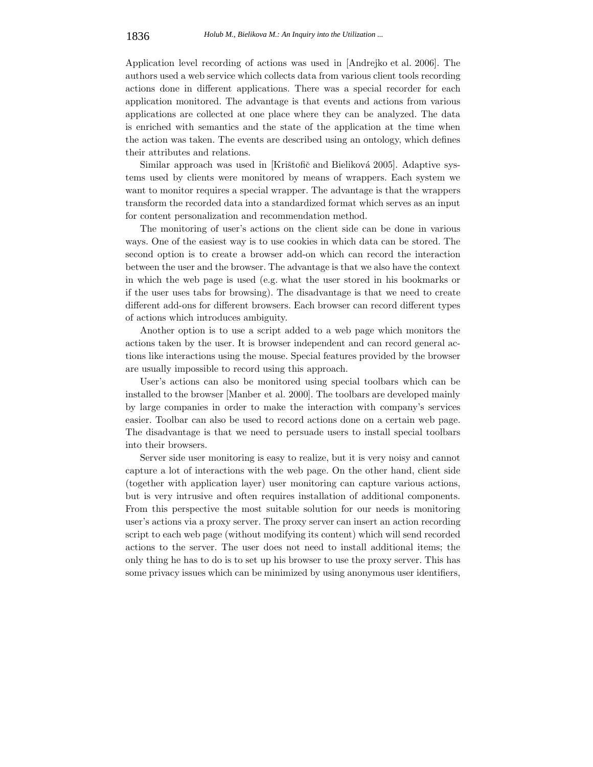Application level recording of actions was used in [Andrejko et al. 2006]. The authors used a web service which collects data from various client tools recording actions done in different applications. There was a special recorder for each application monitored. The advantage is that events and actions from various applications are collected at one place where they can be analyzed. The data is enriched with semantics and the state of the application at the time when the action was taken. The events are described using an ontology, which defines their attributes and relations.

Similar approach was used in [Krištofič and Bieliková 2005]. Adaptive systems used by clients were monitored by means of wrappers. Each system we want to monitor requires a special wrapper. The advantage is that the wrappers transform the recorded data into a standardized format which serves as an input for content personalization and recommendation method.

The monitoring of user's actions on the client side can be done in various ways. One of the easiest way is to use cookies in which data can be stored. The second option is to create a browser add-on which can record the interaction between the user and the browser. The advantage is that we also have the context in which the web page is used (e.g. what the user stored in his bookmarks or if the user uses tabs for browsing). The disadvantage is that we need to create different add-ons for different browsers. Each browser can record different types of actions which introduces ambiguity.

Another option is to use a script added to a web page which monitors the actions taken by the user. It is browser independent and can record general actions like interactions using the mouse. Special features provided by the browser are usually impossible to record using this approach.

User's actions can also be monitored using special toolbars which can be installed to the browser [Manber et al. 2000]. The toolbars are developed mainly by large companies in order to make the interaction with company's services easier. Toolbar can also be used to record actions done on a certain web page. The disadvantage is that we need to persuade users to install special toolbars into their browsers.

Server side user monitoring is easy to realize, but it is very noisy and cannot capture a lot of interactions with the web page. On the other hand, client side (together with application layer) user monitoring can capture various actions, but is very intrusive and often requires installation of additional components. From this perspective the most suitable solution for our needs is monitoring user's actions via a proxy server. The proxy server can insert an action recording script to each web page (without modifying its content) which will send recorded actions to the server. The user does not need to install additional items; the only thing he has to do is to set up his browser to use the proxy server. This has some privacy issues which can be minimized by using anonymous user identifiers,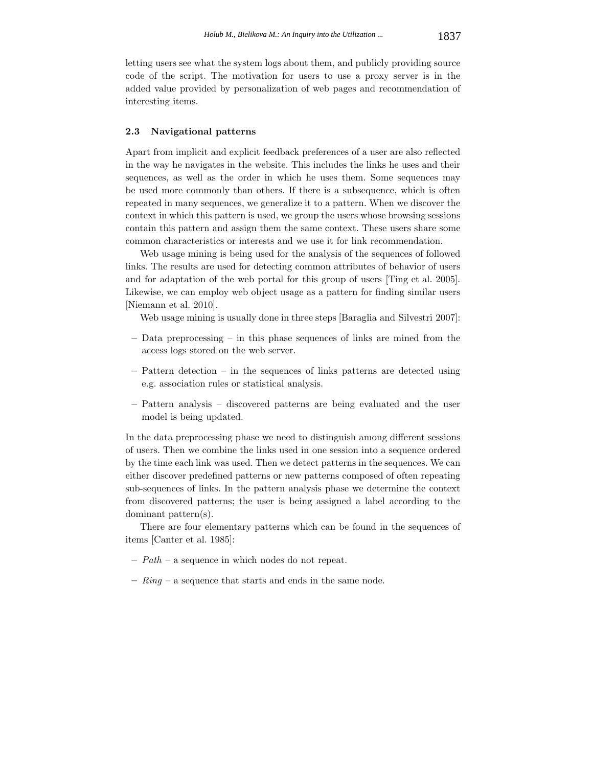letting users see what the system logs about them, and publicly providing source code of the script. The motivation for users to use a proxy server is in the added value provided by personalization of web pages and recommendation of interesting items.

#### **2.3 Navigational patterns**

Apart from implicit and explicit feedback preferences of a user are also reflected in the way he navigates in the website. This includes the links he uses and their sequences, as well as the order in which he uses them. Some sequences may be used more commonly than others. If there is a subsequence, which is often repeated in many sequences, we generalize it to a pattern. When we discover the context in which this pattern is used, we group the users whose browsing sessions contain this pattern and assign them the same context. These users share some common characteristics or interests and we use it for link recommendation.

Web usage mining is being used for the analysis of the sequences of followed links. The results are used for detecting common attributes of behavior of users and for adaptation of the web portal for this group of users [Ting et al. 2005]. Likewise, we can employ web object usage as a pattern for finding similar users [Niemann et al. 2010].

Web usage mining is usually done in three steps [Baraglia and Silvestri 2007]:

- **–** Data preprocessing in this phase sequences of links are mined from the access logs stored on the web server.
- **–** Pattern detection in the sequences of links patterns are detected using e.g. association rules or statistical analysis.
- **–** Pattern analysis discovered patterns are being evaluated and the user model is being updated.

In the data preprocessing phase we need to distinguish among different sessions of users. Then we combine the links used in one session into a sequence ordered by the time each link was used. Then we detect patterns in the sequences. We can either discover predefined patterns or new patterns composed of often repeating sub-sequences of links. In the pattern analysis phase we determine the context from discovered patterns; the user is being assigned a label according to the dominant pattern(s).

There are four elementary patterns which can be found in the sequences of items [Canter et al. 1985]:

- **–** *Path* a sequence in which nodes do not repeat.
- **–** *Ring* a sequence that starts and ends in the same node.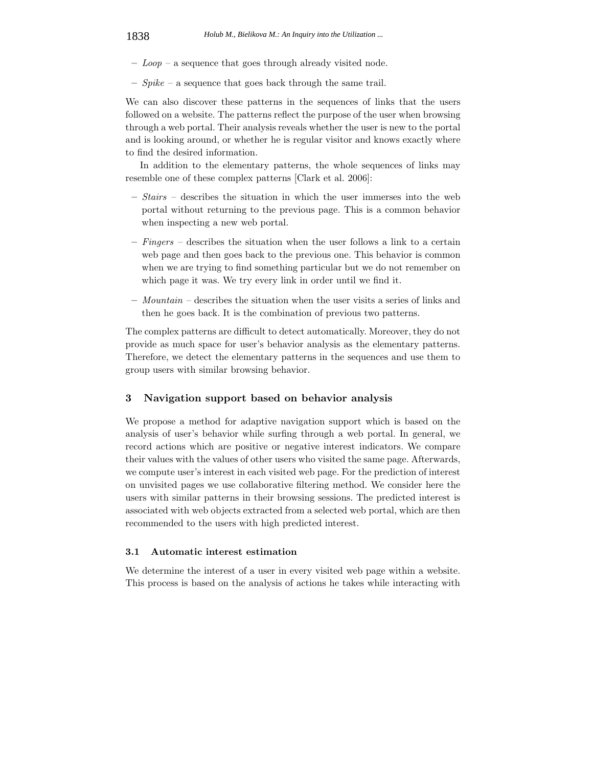- **–** *Loop* a sequence that goes through already visited node.
- **–** *Spike* a sequence that goes back through the same trail.

We can also discover these patterns in the sequences of links that the users followed on a website. The patterns reflect the purpose of the user when browsing through a web portal. Their analysis reveals whether the user is new to the portal and is looking around, or whether he is regular visitor and knows exactly where to find the desired information.

In addition to the elementary patterns, the whole sequences of links may resemble one of these complex patterns [Clark et al. 2006]:

- **–** *Stairs* describes the situation in which the user immerses into the web portal without returning to the previous page. This is a common behavior when inspecting a new web portal.
- **–** *Fingers* describes the situation when the user follows a link to a certain web page and then goes back to the previous one. This behavior is common when we are trying to find something particular but we do not remember on which page it was. We try every link in order until we find it.
- **–** *Mountain* describes the situation when the user visits a series of links and then he goes back. It is the combination of previous two patterns.

The complex patterns are difficult to detect automatically. Moreover, they do not provide as much space for user's behavior analysis as the elementary patterns. Therefore, we detect the elementary patterns in the sequences and use them to group users with similar browsing behavior.

## **3 Navigation support based on behavior analysis**

We propose a method for adaptive navigation support which is based on the analysis of user's behavior while surfing through a web portal. In general, we record actions which are positive or negative interest indicators. We compare their values with the values of other users who visited the same page. Afterwards, we compute user's interest in each visited web page. For the prediction of interest on unvisited pages we use collaborative filtering method. We consider here the users with similar patterns in their browsing sessions. The predicted interest is associated with web objects extracted from a selected web portal, which are then recommended to the users with high predicted interest.

### **3.1 Automatic interest estimation**

We determine the interest of a user in every visited web page within a website. This process is based on the analysis of actions he takes while interacting with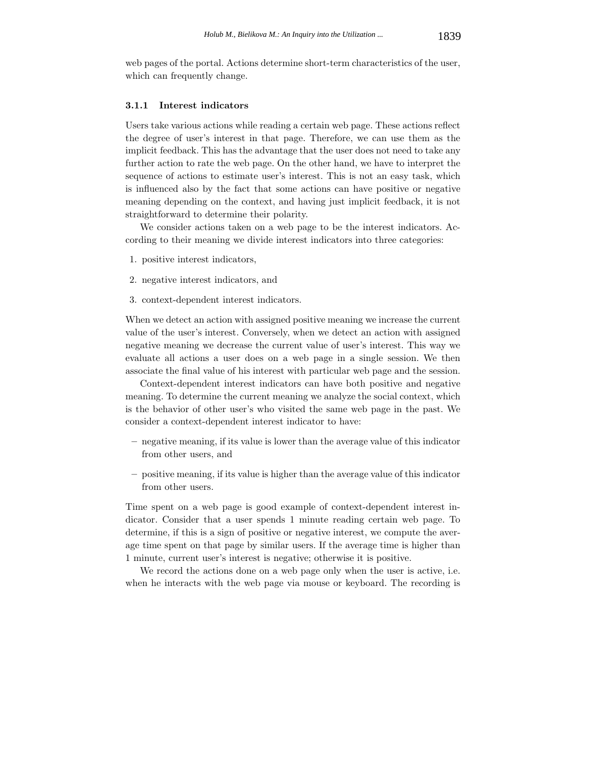web pages of the portal. Actions determine short-term characteristics of the user, which can frequently change.

# **3.1.1 Interest indicators**

Users take various actions while reading a certain web page. These actions reflect the degree of user's interest in that page. Therefore, we can use them as the implicit feedback. This has the advantage that the user does not need to take any further action to rate the web page. On the other hand, we have to interpret the sequence of actions to estimate user's interest. This is not an easy task, which is influenced also by the fact that some actions can have positive or negative meaning depending on the context, and having just implicit feedback, it is not straightforward to determine their polarity.

We consider actions taken on a web page to be the interest indicators. According to their meaning we divide interest indicators into three categories:

- 1. positive interest indicators,
- 2. negative interest indicators, and
- 3. context-dependent interest indicators.

When we detect an action with assigned positive meaning we increase the current value of the user's interest. Conversely, when we detect an action with assigned negative meaning we decrease the current value of user's interest. This way we evaluate all actions a user does on a web page in a single session. We then associate the final value of his interest with particular web page and the session.

Context-dependent interest indicators can have both positive and negative meaning. To determine the current meaning we analyze the social context, which is the behavior of other user's who visited the same web page in the past. We consider a context-dependent interest indicator to have:

- **–** negative meaning, if its value is lower than the average value of this indicator from other users, and
- **–** positive meaning, if its value is higher than the average value of this indicator from other users.

Time spent on a web page is good example of context-dependent interest indicator. Consider that a user spends 1 minute reading certain web page. To determine, if this is a sign of positive or negative interest, we compute the average time spent on that page by similar users. If the average time is higher than 1 minute, current user's interest is negative; otherwise it is positive.

We record the actions done on a web page only when the user is active, i.e. when he interacts with the web page via mouse or keyboard. The recording is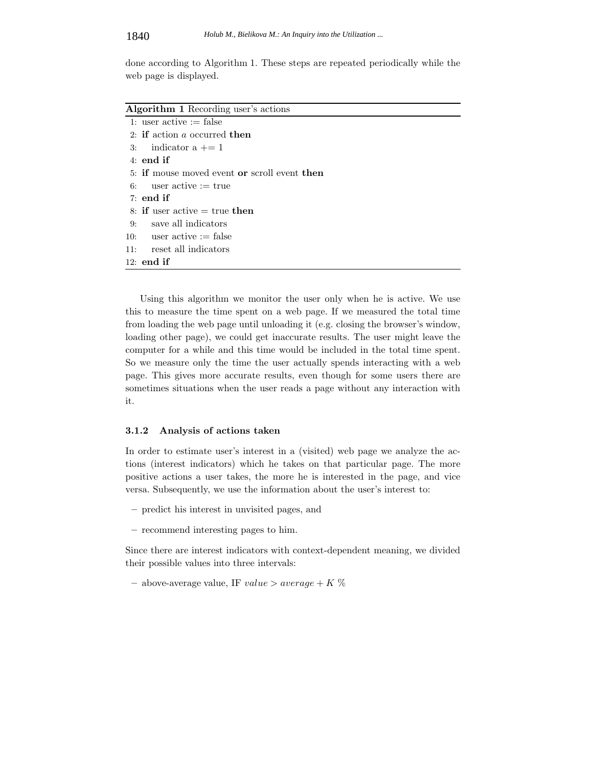done according to Algorithm 1. These steps are repeated periodically while the web page is displayed.

| <b>Algorithm 1</b> Recording user's actions  |
|----------------------------------------------|
| 1: user active $:=$ false                    |
| 2: if action a occurred then                 |
| 3: indicator $a += 1$                        |
| $4:$ end if                                  |
| 5: if mouse moved event or scroll event then |
| 6: user active $:=$ true                     |
| $7:$ end if                                  |
| 8: if user active $=$ true then              |
| save all indicators<br>9:                    |
| 10: user active := false                     |
| reset all indicators<br>11:                  |
| $12:$ end if                                 |

Using this algorithm we monitor the user only when he is active. We use this to measure the time spent on a web page. If we measured the total time from loading the web page until unloading it (e.g. closing the browser's window, loading other page), we could get inaccurate results. The user might leave the computer for a while and this time would be included in the total time spent. So we measure only the time the user actually spends interacting with a web page. This gives more accurate results, even though for some users there are sometimes situations when the user reads a page without any interaction with it.

### **3.1.2 Analysis of actions taken**

In order to estimate user's interest in a (visited) web page we analyze the actions (interest indicators) which he takes on that particular page. The more positive actions a user takes, the more he is interested in the page, and vice versa. Subsequently, we use the information about the user's interest to:

- **–** predict his interest in unvisited pages, and
- **–** recommend interesting pages to him.

Since there are interest indicators with context-dependent meaning, we divided their possible values into three intervals:

**–** above-average value, IF *value > average* <sup>+</sup> *K* %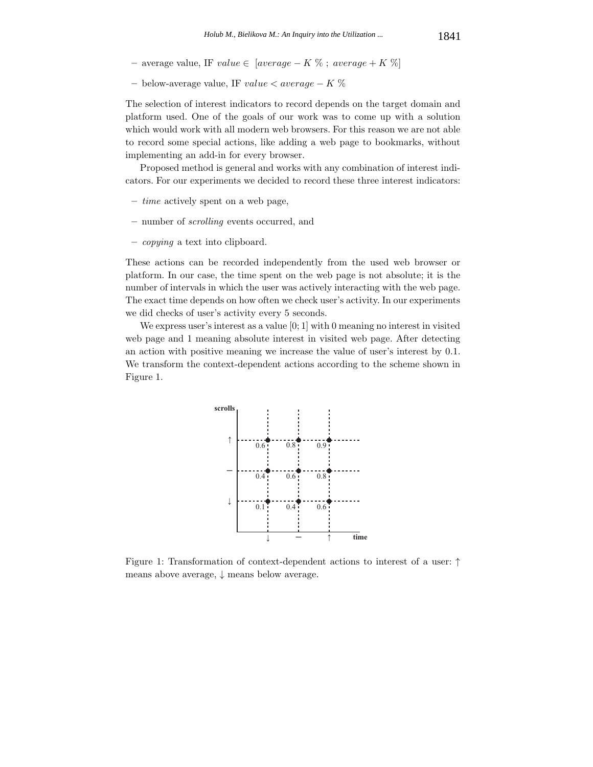- **–** average value, IF *value* <sup>∈</sup> [*average* <sup>−</sup> *K* % ; *average* <sup>+</sup> *K* %]
- **–** below-average value, IF *value < average* <sup>−</sup> *K* %

The selection of interest indicators to record depends on the target domain and platform used. One of the goals of our work was to come up with a solution which would work with all modern web browsers. For this reason we are not able to record some special actions, like adding a web page to bookmarks, without implementing an add-in for every browser.

Proposed method is general and works with any combination of interest indicators. For our experiments we decided to record these three interest indicators:

- **–** *time* actively spent on a web page,
- **–** number of *scrolling* events occurred, and
- **–** *copying* a text into clipboard.

These actions can be recorded independently from the used web browser or platform. In our case, the time spent on the web page is not absolute; it is the number of intervals in which the user was actively interacting with the web page. The exact time depends on how often we check user's activity. In our experiments we did checks of user's activity every 5 seconds.

We express user's interest as a value [0; 1] with 0 meaning no interest in visited web page and 1 meaning absolute interest in visited web page. After detecting an action with positive meaning we increase the value of user's interest by 0.1. We transform the context-dependent actions according to the scheme shown in Figure 1.



Figure 1: Transformation of context-dependent actions to interest of a user: ↑ means above average, ↓ means below average.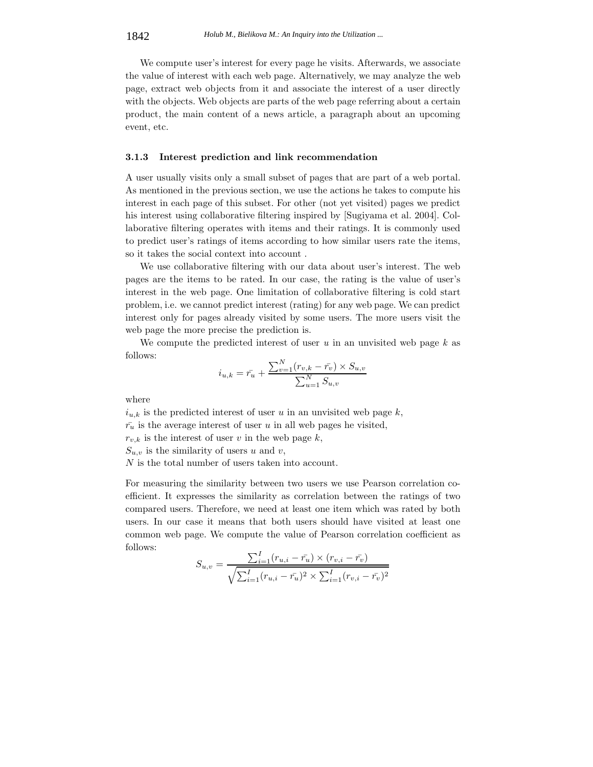We compute user's interest for every page he visits. Afterwards, we associate the value of interest with each web page. Alternatively, we may analyze the web page, extract web objects from it and associate the interest of a user directly with the objects. Web objects are parts of the web page referring about a certain product, the main content of a news article, a paragraph about an upcoming event, etc.

### **3.1.3 Interest prediction and link recommendation**

A user usually visits only a small subset of pages that are part of a web portal. As mentioned in the previous section, we use the actions he takes to compute his interest in each page of this subset. For other (not yet visited) pages we predict his interest using collaborative filtering inspired by [Sugiyama et al. 2004]. Collaborative filtering operates with items and their ratings. It is commonly used to predict user's ratings of items according to how similar users rate the items, so it takes the social context into account .

We use collaborative filtering with our data about user's interest. The web pages are the items to be rated. In our case, the rating is the value of user's interest in the web page. One limitation of collaborative filtering is cold start problem, i.e. we cannot predict interest (rating) for any web page. We can predict interest only for pages already visited by some users. The more users visit the web page the more precise the prediction is.

We compute the predicted interest of user *u* in an unvisited web page *k* as follows:

$$
i_{u,k} = \bar{r_u} + \frac{\sum_{v=1}^{N} (r_{v,k} - \bar{r_v}) \times S_{u,v}}{\sum_{u=1}^{N} S_{u,v}}
$$

where

 $i_{u,k}$  is the predicted interest of user *u* in an unvisited web page  $k$ ,  $\bar{r}_u$  is the average interest of user *u* in all web pages he visited,

 $r_{v,k}$  is the interest of user *v* in the web page *k*,

 $S_{u,v}$  is the similarity of users *u* and *v*,

*N* is the total number of users taken into account.

For measuring the similarity between two users we use Pearson correlation coefficient. It expresses the similarity as correlation between the ratings of two compared users. Therefore, we need at least one item which was rated by both users. In our case it means that both users should have visited at least one common web page. We compute the value of Pearson correlation coefficient as follows:

$$
S_{u,v} = \frac{\sum_{i=1}^{I} (r_{u,i} - \bar{r_u}) \times (r_{v,i} - \bar{r_v})}{\sqrt{\sum_{i=1}^{I} (r_{u,i} - \bar{r_u})^2 \times \sum_{i=1}^{I} (r_{v,i} - \bar{r_v})^2}}
$$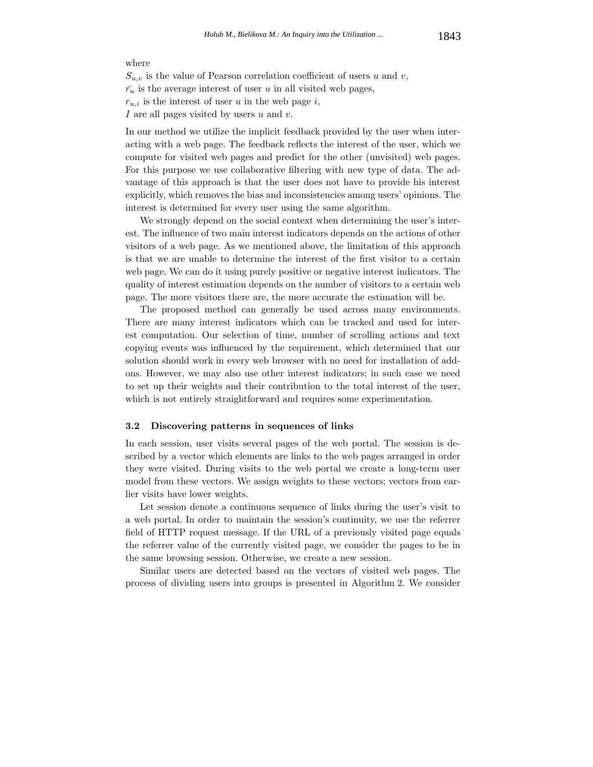#### where

 $S_{u,v}$  is the value of Pearson correlation coefficient of users *u* and *v*,  $\bar{r}_u$  is the average interest of user *u* in all visited web pages,  $r_{u,i}$  is the interest of user *u* in the web page *i*, *I* are all pages visited by users *u* and *v*.

In our method we utilize the implicit feedback provided by the user when interacting with a web page. The feedback reflects the interest of the user, which we compute for visited web pages and predict for the other (unvisited) web pages. For this purpose we use collaborative filtering with new type of data. The advantage of this approach is that the user does not have to provide his interest explicitly, which removes the bias and inconsistencies among users' opinions. The interest is determined for every user using the same algorithm.

We strongly depend on the social context when determining the user's interest. The influence of two main interest indicators depends on the actions of other visitors of a web page. As we mentioned above, the limitation of this approach is that we are unable to determine the interest of the first visitor to a certain web page. We can do it using purely positive or negative interest indicators. The quality of interest estimation depends on the number of visitors to a certain web page. The more visitors there are, the more accurate the estimation will be.

The proposed method can generally be used across many environments. There are many interest indicators which can be tracked and used for interest computation. Our selection of time, number of scrolling actions and text copying events was influenced by the requirement, which determined that our solution should work in every web browser with no need for installation of addons. However, we may also use other interest indicators; in such case we need to set up their weights and their contribution to the total interest of the user, which is not entirely straightforward and requires some experimentation.

#### **3.2 Discovering patterns in sequences of links**

In each session, user visits several pages of the web portal. The session is described by a vector which elements are links to the web pages arranged in order they were visited. During visits to the web portal we create a long-term user model from these vectors. We assign weights to these vectors; vectors from earlier visits have lower weights.

Let session denote a continuous sequence of links during the user's visit to a web portal. In order to maintain the session's continuity, we use the referrer field of HTTP request message. If the URL of a previously visited page equals the referrer value of the currently visited page, we consider the pages to be in the same browsing session. Otherwise, we create a new session.

Similar users are detected based on the vectors of visited web pages. The process of dividing users into groups is presented in Algorithm 2. We consider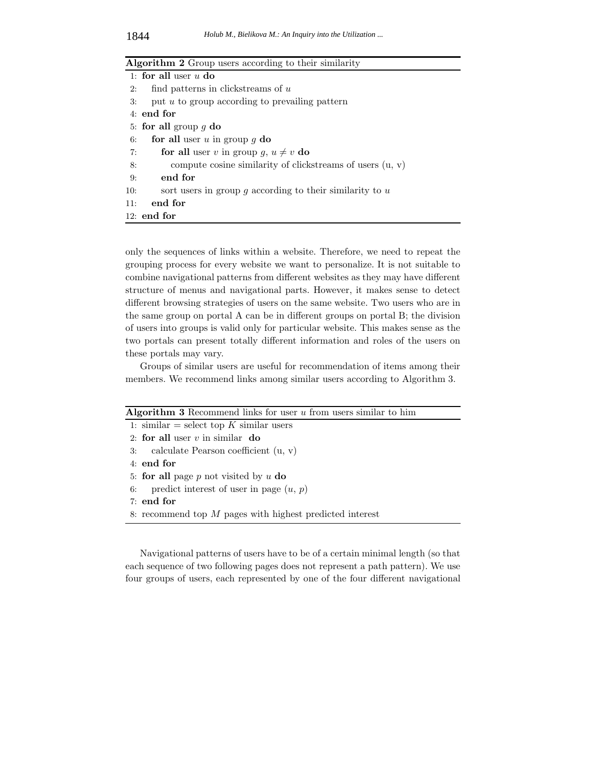|     | Algorithm 2 Group users according to their similarity       |  |  |  |  |  |  |
|-----|-------------------------------------------------------------|--|--|--|--|--|--|
|     | 1: for all user $u$ do                                      |  |  |  |  |  |  |
| 2:  | find patterns in clickstreams of $u$                        |  |  |  |  |  |  |
| 3:  | put $u$ to group according to prevailing pattern            |  |  |  |  |  |  |
|     | $4:$ end for                                                |  |  |  |  |  |  |
|     | 5: for all group $q$ do                                     |  |  |  |  |  |  |
| 6:  | for all user u in group $q$ do                              |  |  |  |  |  |  |
| 7:  | for all user v in group q, $u \neq v$ do                    |  |  |  |  |  |  |
| 8:  | compute cosine similarity of clickstreams of users $(u, v)$ |  |  |  |  |  |  |
| 9:  | end for                                                     |  |  |  |  |  |  |
| 10: | sort users in group q according to their similarity to $u$  |  |  |  |  |  |  |
| 11: | end for                                                     |  |  |  |  |  |  |
|     | $12:$ end for                                               |  |  |  |  |  |  |

only the sequences of links within a website. Therefore, we need to repeat the grouping process for every website we want to personalize. It is not suitable to combine navigational patterns from different websites as they may have different structure of menus and navigational parts. However, it makes sense to detect different browsing strategies of users on the same website. Two users who are in the same group on portal A can be in different groups on portal B; the division of users into groups is valid only for particular website. This makes sense as the two portals can present totally different information and roles of the users on these portals may vary.

Groups of similar users are useful for recommendation of items among their members. We recommend links among similar users according to Algorithm 3.

| Algorithm 3 Recommend links for user $u$ from users similar to him |
|--------------------------------------------------------------------|
| 1: similar = select top K similar users                            |
| 2: for all user $v$ in similar do                                  |
| 3: calculate Pearson coefficient $(u, v)$                          |
| $4:$ end for                                                       |
| 5: for all page $p$ not visited by $u$ do                          |
| predict interest of user in page $(u, p)$<br>6:                    |
| $7:$ end for                                                       |
| 8: recommend top $M$ pages with highest predicted interest         |
|                                                                    |

Navigational patterns of users have to be of a certain minimal length (so that each sequence of two following pages does not represent a path pattern). We use four groups of users, each represented by one of the four different navigational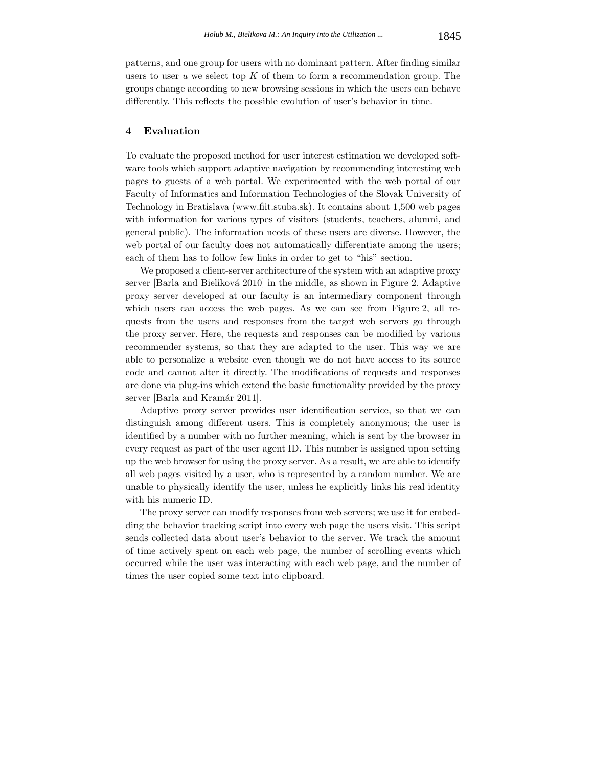patterns, and one group for users with no dominant pattern. After finding similar users to user *u* we select top *K* of them to form a recommendation group. The groups change according to new browsing sessions in which the users can behave differently. This reflects the possible evolution of user's behavior in time.

# **4 Evaluation**

To evaluate the proposed method for user interest estimation we developed software tools which support adaptive navigation by recommending interesting web pages to guests of a web portal. We experimented with the web portal of our Faculty of Informatics and Information Technologies of the Slovak University of Technology in Bratislava (www.fiit.stuba.sk). It contains about 1,500 web pages with information for various types of visitors (students, teachers, alumni, and general public). The information needs of these users are diverse. However, the web portal of our faculty does not automatically differentiate among the users; each of them has to follow few links in order to get to "his" section.

We proposed a client-server architecture of the system with an adaptive proxy server [Barla and Bieliková 2010] in the middle, as shown in Figure 2. Adaptive proxy server developed at our faculty is an intermediary component through which users can access the web pages. As we can see from Figure 2, all requests from the users and responses from the target web servers go through the proxy server. Here, the requests and responses can be modified by various recommender systems, so that they are adapted to the user. This way we are able to personalize a website even though we do not have access to its source code and cannot alter it directly. The modifications of requests and responses are done via plug-ins which extend the basic functionality provided by the proxy server [Barla and Kramár 2011].

Adaptive proxy server provides user identification service, so that we can distinguish among different users. This is completely anonymous; the user is identified by a number with no further meaning, which is sent by the browser in every request as part of the user agent ID. This number is assigned upon setting up the web browser for using the proxy server. As a result, we are able to identify all web pages visited by a user, who is represented by a random number. We are unable to physically identify the user, unless he explicitly links his real identity with his numeric ID.

The proxy server can modify responses from web servers; we use it for embedding the behavior tracking script into every web page the users visit. This script sends collected data about user's behavior to the server. We track the amount of time actively spent on each web page, the number of scrolling events which occurred while the user was interacting with each web page, and the number of times the user copied some text into clipboard.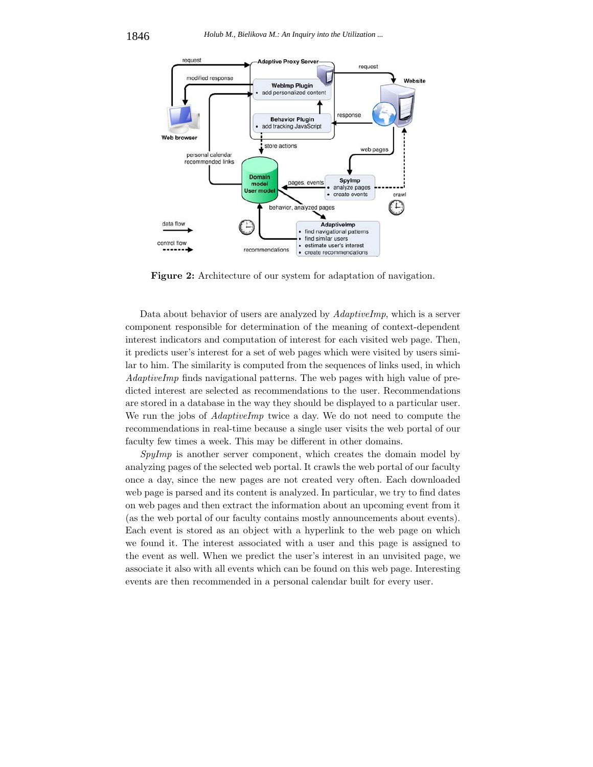

**Figure 2:** Architecture of our system for adaptation of navigation.

Data about behavior of users are analyzed by *AdaptiveImp*, which is a server component responsible for determination of the meaning of context-dependent interest indicators and computation of interest for each visited web page. Then, it predicts user's interest for a set of web pages which were visited by users similar to him. The similarity is computed from the sequences of links used, in which *AdaptiveImp* finds navigational patterns. The web pages with high value of predicted interest are selected as recommendations to the user. Recommendations are stored in a database in the way they should be displayed to a particular user. We run the jobs of *AdaptiveImp* twice a day. We do not need to compute the recommendations in real-time because a single user visits the web portal of our faculty few times a week. This may be different in other domains.

*SpyImp* is another server component, which creates the domain model by analyzing pages of the selected web portal. It crawls the web portal of our faculty once a day, since the new pages are not created very often. Each downloaded web page is parsed and its content is analyzed. In particular, we try to find dates on web pages and then extract the information about an upcoming event from it (as the web portal of our faculty contains mostly announcements about events). Each event is stored as an object with a hyperlink to the web page on which we found it. The interest associated with a user and this page is assigned to the event as well. When we predict the user's interest in an unvisited page, we associate it also with all events which can be found on this web page. Interesting events are then recommended in a personal calendar built for every user.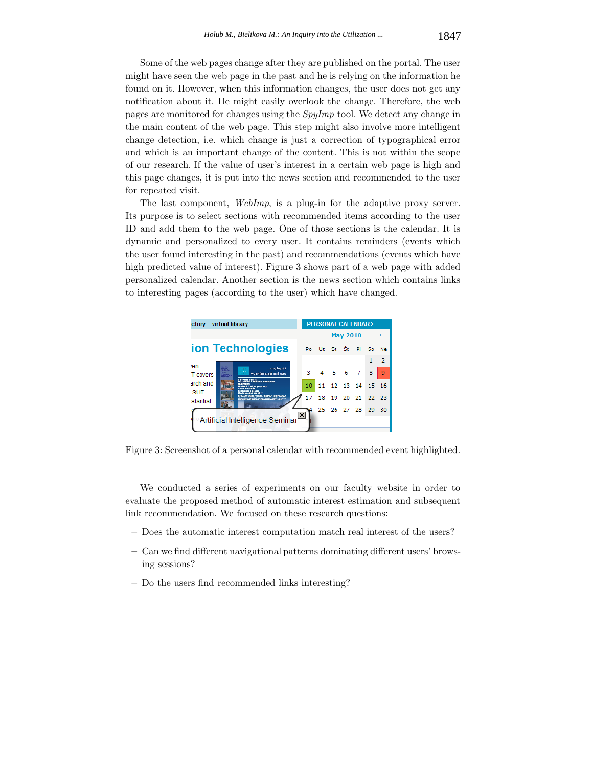Some of the web pages change after they are published on the portal. The user might have seen the web page in the past and he is relying on the information he found on it. However, when this information changes, the user does not get any notification about it. He might easily overlook the change. Therefore, the web pages are monitored for changes using the *SpyImp* tool. We detect any change in the main content of the web page. This step might also involve more intelligent change detection, i.e. which change is just a correction of typographical error and which is an important change of the content. This is not within the scope of our research. If the value of user's interest in a certain web page is high and this page changes, it is put into the news section and recommended to the user for repeated visit.

The last component, *WebImp*, is a plug-in for the adaptive proxy server. Its purpose is to select sections with recommended items according to the user ID and add them to the web page. One of those sections is the calendar. It is dynamic and personalized to every user. It contains reminders (events which the user found interesting in the past) and recommendations (events which have high predicted value of interest). Figure 3 shows part of a web page with added personalized calendar. Another section is the news section which contains links to interesting pages (according to the user) which have changed.

| virtual library<br>ctory                                                                                                                                                                                               |                 | <b>PERSONAL CALENDAR&gt;</b> |          |          |      |    |                |  |
|------------------------------------------------------------------------------------------------------------------------------------------------------------------------------------------------------------------------|-----------------|------------------------------|----------|----------|------|----|----------------|--|
|                                                                                                                                                                                                                        | <b>May 2010</b> |                              |          | ×.       |      |    |                |  |
| ion Technologies                                                                                                                                                                                                       | P <sub>0</sub>  |                              | Ut St St |          | Pi   | So | Ne             |  |
| ren                                                                                                                                                                                                                    |                 |                              |          |          |      | 1  | $\overline{2}$ |  |
| …najlepší<br><b>STATISTICS</b><br>vychádzajú od nás<br>T covers                                                                                                                                                        | 3.              |                              | 4 5 6 7  |          |      | 8  | 9              |  |
| <b><i>I have hel musicia</i></b><br>Perspektives mainted informated<br>arch and<br>en ishterar<br>Moderni stadi os programy<br><b>Editor an eithers</b><br>Spolgorika a precog<br><b>SUT</b><br>Maski spresby kontakty | 10              | 11                           | 12, 13   |          | - 14 | 15 | -16            |  |
| THE REAL BASICAL CROSS OF LIGHT 2012<br><b>Linguage Competition Controlling</b><br>stantial                                                                                                                            | 17              | 18                           | 19       | 20       | 21   | 22 | -23            |  |
|                                                                                                                                                                                                                        |                 | 25                           |          | 26 27 28 |      | 29 | 30             |  |
| $\vert x \vert$<br>Artificial Intelligence Seminar                                                                                                                                                                     |                 |                              |          |          |      |    |                |  |

Figure 3: Screenshot of a personal calendar with recommended event highlighted.

We conducted a series of experiments on our faculty website in order to evaluate the proposed method of automatic interest estimation and subsequent link recommendation. We focused on these research questions:

- **–** Does the automatic interest computation match real interest of the users?
- **–** Can we find different navigational patterns dominating different users' browsing sessions?
- **–** Do the users find recommended links interesting?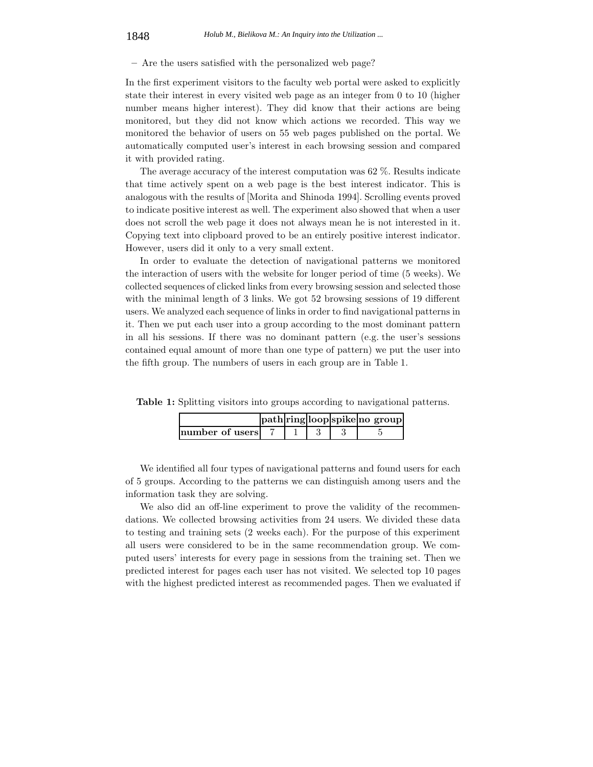**–** Are the users satisfied with the personalized web page?

In the first experiment visitors to the faculty web portal were asked to explicitly state their interest in every visited web page as an integer from 0 to 10 (higher number means higher interest). They did know that their actions are being monitored, but they did not know which actions we recorded. This way we monitored the behavior of users on 55 web pages published on the portal. We automatically computed user's interest in each browsing session and compared it with provided rating.

The average accuracy of the interest computation was 62 %. Results indicate that time actively spent on a web page is the best interest indicator. This is analogous with the results of [Morita and Shinoda 1994]. Scrolling events proved to indicate positive interest as well. The experiment also showed that when a user does not scroll the web page it does not always mean he is not interested in it. Copying text into clipboard proved to be an entirely positive interest indicator. However, users did it only to a very small extent.

In order to evaluate the detection of navigational patterns we monitored the interaction of users with the website for longer period of time (5 weeks). We collected sequences of clicked links from every browsing session and selected those with the minimal length of 3 links. We got 52 browsing sessions of 19 different users. We analyzed each sequence of links in order to find navigational patterns in it. Then we put each user into a group according to the most dominant pattern in all his sessions. If there was no dominant pattern (e.g. the user's sessions contained equal amount of more than one type of pattern) we put the user into the fifth group. The numbers of users in each group are in Table 1.

|                 |  |  | path ring loop spike no group |
|-----------------|--|--|-------------------------------|
| mumber of users |  |  |                               |

**Table 1:** Splitting visitors into groups according to navigational patterns.

We identified all four types of navigational patterns and found users for each of 5 groups. According to the patterns we can distinguish among users and the information task they are solving.

We also did an off-line experiment to prove the validity of the recommendations. We collected browsing activities from 24 users. We divided these data to testing and training sets (2 weeks each). For the purpose of this experiment all users were considered to be in the same recommendation group. We computed users' interests for every page in sessions from the training set. Then we predicted interest for pages each user has not visited. We selected top 10 pages with the highest predicted interest as recommended pages. Then we evaluated if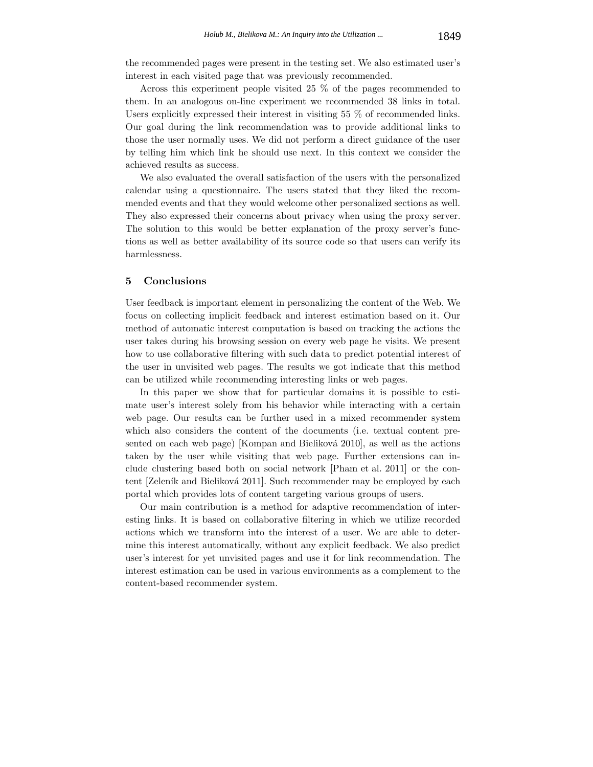the recommended pages were present in the testing set. We also estimated user's interest in each visited page that was previously recommended.

Across this experiment people visited 25 % of the pages recommended to them. In an analogous on-line experiment we recommended 38 links in total. Users explicitly expressed their interest in visiting 55 % of recommended links. Our goal during the link recommendation was to provide additional links to those the user normally uses. We did not perform a direct guidance of the user by telling him which link he should use next. In this context we consider the achieved results as success.

We also evaluated the overall satisfaction of the users with the personalized calendar using a questionnaire. The users stated that they liked the recommended events and that they would welcome other personalized sections as well. They also expressed their concerns about privacy when using the proxy server. The solution to this would be better explanation of the proxy server's functions as well as better availability of its source code so that users can verify its harmlessness.

# **5 Conclusions**

User feedback is important element in personalizing the content of the Web. We focus on collecting implicit feedback and interest estimation based on it. Our method of automatic interest computation is based on tracking the actions the user takes during his browsing session on every web page he visits. We present how to use collaborative filtering with such data to predict potential interest of the user in unvisited web pages. The results we got indicate that this method can be utilized while recommending interesting links or web pages.

In this paper we show that for particular domains it is possible to estimate user's interest solely from his behavior while interacting with a certain web page. Our results can be further used in a mixed recommender system which also considers the content of the documents (i.e. textual content presented on each web page) [Kompan and Bieliková 2010], as well as the actions taken by the user while visiting that web page. Further extensions can include clustering based both on social network [Pham et al. 2011] or the content [Zeleník and Bieliková 2011]. Such recommender may be employed by each portal which provides lots of content targeting various groups of users.

Our main contribution is a method for adaptive recommendation of interesting links. It is based on collaborative filtering in which we utilize recorded actions which we transform into the interest of a user. We are able to determine this interest automatically, without any explicit feedback. We also predict user's interest for yet unvisited pages and use it for link recommendation. The interest estimation can be used in various environments as a complement to the content-based recommender system.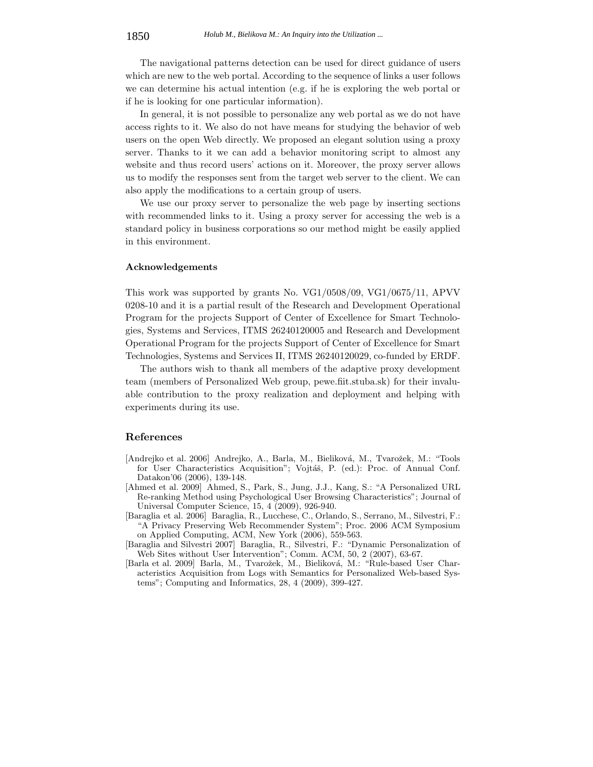The navigational patterns detection can be used for direct guidance of users which are new to the web portal. According to the sequence of links a user follows we can determine his actual intention (e.g. if he is exploring the web portal or if he is looking for one particular information).

In general, it is not possible to personalize any web portal as we do not have access rights to it. We also do not have means for studying the behavior of web users on the open Web directly. We proposed an elegant solution using a proxy server. Thanks to it we can add a behavior monitoring script to almost any website and thus record users' actions on it. Moreover, the proxy server allows us to modify the responses sent from the target web server to the client. We can also apply the modifications to a certain group of users.

We use our proxy server to personalize the web page by inserting sections with recommended links to it. Using a proxy server for accessing the web is a standard policy in business corporations so our method might be easily applied in this environment.

#### **Acknowledgements**

This work was supported by grants No. VG1/0508/09, VG1/0675/11, APVV 0208-10 and it is a partial result of the Research and Development Operational Program for the projects Support of Center of Excellence for Smart Technologies, Systems and Services, ITMS 26240120005 and Research and Development Operational Program for the projects Support of Center of Excellence for Smart Technologies, Systems and Services II, ITMS 26240120029, co-funded by ERDF.

The authors wish to thank all members of the adaptive proxy development team (members of Personalized Web group, pewe.fiit.stuba.sk) for their invaluable contribution to the proxy realization and deployment and helping with experiments during its use.

# **References**

- [Andrejko et al. 2006] Andrejko, A., Barla, M., Bieliková, M., Tvarožek, M.: "Tools for User Characteristics Acquisition"; Vojtáš, P. (ed.): Proc. of Annual Conf. Datakon'06 (2006), 139-148.
- [Ahmed et al. 2009] Ahmed, S., Park, S., Jung, J.J., Kang, S.: "A Personalized URL Re-ranking Method using Psychological User Browsing Characteristics"; Journal of Universal Computer Science, 15, 4 (2009), 926-940.
- [Baraglia et al. 2006] Baraglia, R., Lucchese, C., Orlando, S., Serrano, M., Silvestri, F.: "A Privacy Preserving Web Recommender System"; Proc. 2006 ACM Symposium on Applied Computing, ACM, New York (2006), 559-563.
- [Baraglia and Silvestri 2007] Baraglia, R., Silvestri, F.: "Dynamic Personalization of Web Sites without User Intervention"; Comm. ACM, 50, 2 (2007), 63-67.
- [Barla et al. 2009] Barla, M., Tvarožek, M., Bieliková, M.: "Rule-based User Characteristics Acquisition from Logs with Semantics for Personalized Web-based Systems"; Computing and Informatics, 28, 4 (2009), 399-427.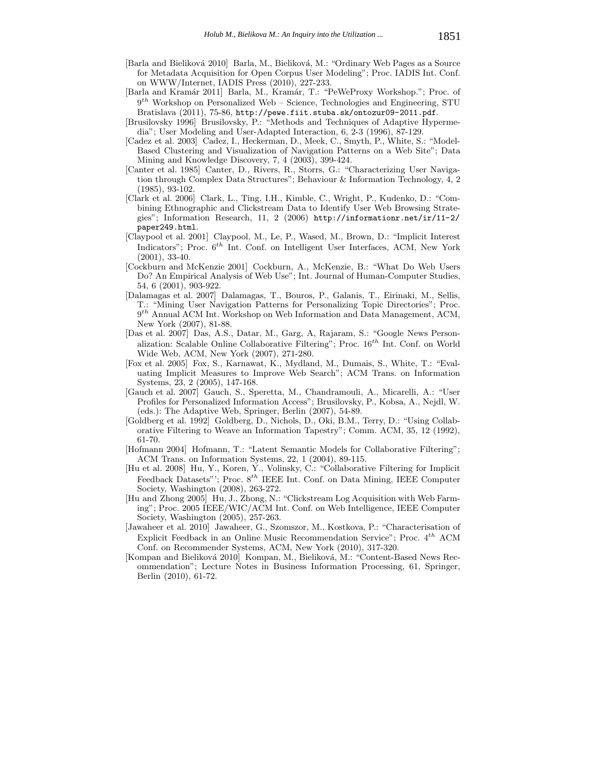- [Barla and Bieliková 2010] Barla, M., Bieliková, M.: "Ordinary Web Pages as a Source for Metadata Acquisition for Open Corpus User Modeling"; Proc. IADIS Int. Conf. on WWW/Internet, IADIS Press (2010), 227-233.
- [Barla and Kramár 2011] Barla, M., Kramár, T.: "PeWeProxy Workshop."; Proc. of 9*th* Workshop on Personalized Web – Science, Technologies and Engineering, STU Bratislava (2011), 75-86, http://pewe.fiit.stuba.sk/ontozur09-2011.pdf.
- [Brusilovsky 1996] Brusilovsky, P.: "Methods and Techniques of Adaptive Hypermedia"; User Modeling and User-Adapted Interaction, 6, 2-3 (1996), 87-129.
- [Cadez et al. 2003] Cadez, I., Heckerman, D., Meek, C., Smyth, P., White, S.: "Model-Based Clustering and Visualization of Navigation Patterns on a Web Site"; Data Mining and Knowledge Discovery, 7, 4 (2003), 399-424.
- [Canter et al. 1985] Canter, D., Rivers, R., Storrs, G.: "Characterizing User Navigation through Complex Data Structures"; Behaviour & Information Technology, 4, 2 (1985), 93-102.
- [Clark et al. 2006] Clark, L., Ting, I.H., Kimble, C., Wright, P., Kudenko, D.: "Combining Ethnographic and Clickstream Data to Identify User Web Browsing Strategies"; Information Research, 11, 2 (2006) http://informationr.net/ir/11-2/ paper249.html.
- [Claypool et al. 2001] Claypool, M., Le, P., Wased, M., Brown, D.: "Implicit Interest Indicators"; Proc. 6*th* Int. Conf. on Intelligent User Interfaces, ACM, New York (2001), 33-40.
- [Cockburn and McKenzie 2001] Cockburn, A., McKenzie, B.: "What Do Web Users Do? An Empirical Analysis of Web Use"; Int. Journal of Human-Computer Studies, 54, 6 (2001), 903-922.
- [Dalamagas et al. 2007] Dalamagas, T., Bouros, P., Galanis, T., Eirinaki, M., Sellis, T.: "Mining User Navigation Patterns for Personalizing Topic Directories"; Proc. 9*th* Annual ACM Int. Workshop on Web Information and Data Management, ACM, New York (2007), 81-88.
- [Das et al. 2007] Das, A.S., Datar, M., Garg, A, Rajaram, S.: "Google News Personalization: Scalable Online Collaborative Filtering"; Proc. 16*th* Int. Conf. on World Wide Web, ACM, New York (2007), 271-280.
- [Fox et al. 2005] Fox, S., Karnawat, K., Mydland, M., Dumais, S., White, T.: "Evaluating Implicit Measures to Improve Web Search"; ACM Trans. on Information Systems, 23, 2 (2005), 147-168.
- [Gauch et al. 2007] Gauch, S., Speretta, M., Chandramouli, A., Micarelli, A.: "User Profiles for Personalized Information Access"; Brusilovsky, P., Kobsa, A., Nejdl, W. (eds.): The Adaptive Web, Springer, Berlin (2007), 54-89.
- [Goldberg et al. 1992] Goldberg, D., Nichols, D., Oki, B.M., Terry, D.: "Using Collaborative Filtering to Weave an Information Tapestry"; Comm. ACM, 35, 12 (1992), 61-70.
- [Hofmann 2004] Hofmann, T.: "Latent Semantic Models for Collaborative Filtering"; ACM Trans. on Information Systems, 22, 1 (2004), 89-115.
- [Hu et al. 2008] Hu, Y., Koren, Y., Volinsky, C.: "Collaborative Filtering for Implicit Feedback Datasets"'; Proc.  $8^{th}$  IEEE Int. Conf. on Data Mining, IEEE Computer Society, Washington (2008), 263-272.
- [Hu and Zhong 2005] Hu, J., Zhong, N.: "Clickstream Log Acquisition with Web Farming"; Proc. 2005 IEEE/WIC/ACM Int. Conf. on Web Intelligence, IEEE Computer Society, Washington (2005), 257-263.
- [Jawaheer et al. 2010] Jawaheer, G., Szomszor, M., Kostkova, P.: "Characterisation of Explicit Feedback in an Online Music Recommendation Service"; Proc. 4*th* ACM Conf. on Recommender Systems, ACM, New York (2010), 317-320.
- [Kompan and Bieliková 2010] Kompan, M., Bieliková, M.: "Content-Based News Recommendation"; Lecture Notes in Business Information Processing, 61, Springer, Berlin (2010), 61-72.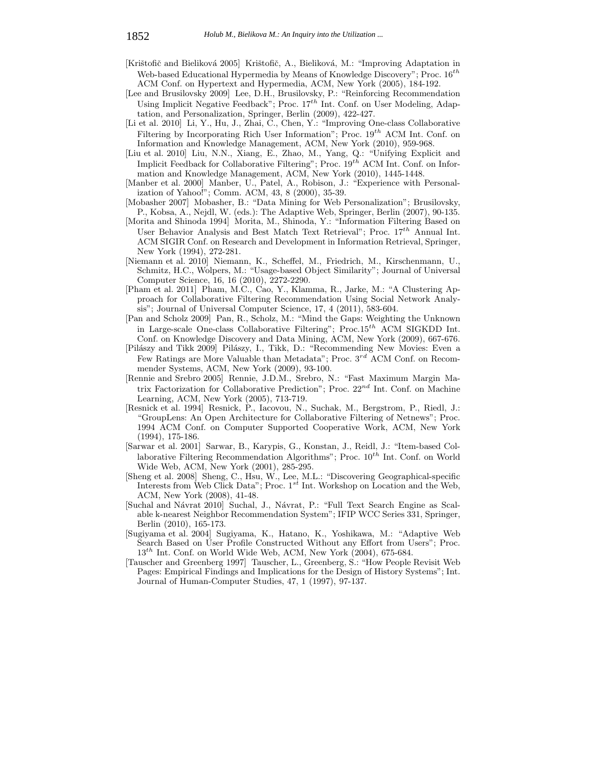- [Krištofič and Bieliková 2005] Krištofič, A., Bieliková, M.: "Improving Adaptation in Web-based Educational Hypermedia by Means of Knowledge Discovery"; Proc. 16*th* ACM Conf. on Hypertext and Hypermedia, ACM, New York (2005), 184-192.
- [Lee and Brusilovsky 2009] Lee, D.H., Brusilovsky, P.: "Reinforcing Recommendation Using Implicit Negative Feedback"; Proc. 17*th* Int. Conf. on User Modeling, Adaptation, and Personalization, Springer, Berlin (2009), 422-427.
- [Li et al. 2010] Li, Y., Hu, J., Zhai, C., Chen, Y.: "Improving One-class Collaborative Filtering by Incorporating Rich User Information"; Proc. 19*th* ACM Int. Conf. on Information and Knowledge Management, ACM, New York (2010), 959-968.
- [Liu et al. 2010] Liu, N.N., Xiang, E., Zhao, M., Yang, Q.: "Unifying Explicit and Implicit Feedback for Collaborative Filtering"; Proc. 19*th* ACM Int. Conf. on Information and Knowledge Management, ACM, New York (2010), 1445-1448.
- [Manber et al. 2000] Manber, U., Patel, A., Robison, J.: "Experience with Personalization of Yahoo!"; Comm. ACM, 43, 8 (2000), 35-39.
- [Mobasher 2007] Mobasher, B.: "Data Mining for Web Personalization"; Brusilovsky, P., Kobsa, A., Nejdl, W. (eds.): The Adaptive Web, Springer, Berlin (2007), 90-135.
- [Morita and Shinoda 1994] Morita, M., Shinoda, Y.: "Information Filtering Based on User Behavior Analysis and Best Match Text Retrieval"; Proc. 17*th* Annual Int. ACM SIGIR Conf. on Research and Development in Information Retrieval, Springer, New York (1994), 272-281.
- [Niemann et al. 2010] Niemann, K., Scheffel, M., Friedrich, M., Kirschenmann, U., Schmitz, H.C., Wolpers, M.: "Usage-based Object Similarity"; Journal of Universal Computer Science, 16, 16 (2010), 2272-2290.
- [Pham et al. 2011] Pham, M.C., Cao, Y., Klamma, R., Jarke, M.: "A Clustering Approach for Collaborative Filtering Recommendation Using Social Network Analysis"; Journal of Universal Computer Science, 17, 4 (2011), 583-604.
- [Pan and Scholz 2009] Pan, R., Scholz, M.: "Mind the Gaps: Weighting the Unknown in Large-scale One-class Collaborative Filtering"; Proc.15*th* ACM SIGKDD Int. Conf. on Knowledge Discovery and Data Mining, ACM, New York (2009), 667-676.
- [Pilászy and Tikk 2009] Pilászy, I., Tikk, D.: "Recommending New Movies: Even a Few Ratings are More Valuable than Metadata"; Proc. 3*rd* ACM Conf. on Recommender Systems, ACM, New York (2009), 93-100.
- [Rennie and Srebro 2005] Rennie, J.D.M., Srebro, N.: "Fast Maximum Margin Matrix Factorization for Collaborative Prediction"; Proc. 22*nd* Int. Conf. on Machine Learning, ACM, New York (2005), 713-719.
- [Resnick et al. 1994] Resnick, P., Iacovou, N., Suchak, M., Bergstrom, P., Riedl, J.: "GroupLens: An Open Architecture for Collaborative Filtering of Netnews"; Proc. 1994 ACM Conf. on Computer Supported Cooperative Work, ACM, New York (1994), 175-186.
- [Sarwar et al. 2001] Sarwar, B., Karypis, G., Konstan, J., Reidl, J.: "Item-based Collaborative Filtering Recommendation Algorithms"; Proc. 10*th* Int. Conf. on World Wide Web, ACM, New York (2001), 285-295.
- [Sheng et al. 2008] Sheng, C., Hsu, W., Lee, M.L.: "Discovering Geographical-specific Interests from Web Click Data"; Proc. 1*st* Int. Workshop on Location and the Web, ACM, New York (2008), 41-48.
- [Suchal and Návrat 2010] Suchal, J., Návrat, P.: "Full Text Search Engine as Scalable k-nearest Neighbor Recommendation System"; IFIP WCC Series 331, Springer, Berlin (2010), 165-173.
- [Sugiyama et al. 2004] Sugiyama, K., Hatano, K., Yoshikawa, M.: "Adaptive Web Search Based on User Profile Constructed Without any Effort from Users"; Proc. 13*th* Int. Conf. on World Wide Web, ACM, New York (2004), 675-684.
- [Tauscher and Greenberg 1997] Tauscher, L., Greenberg, S.: "How People Revisit Web Pages: Empirical Findings and Implications for the Design of History Systems"; Int. Journal of Human-Computer Studies, 47, 1 (1997), 97-137.